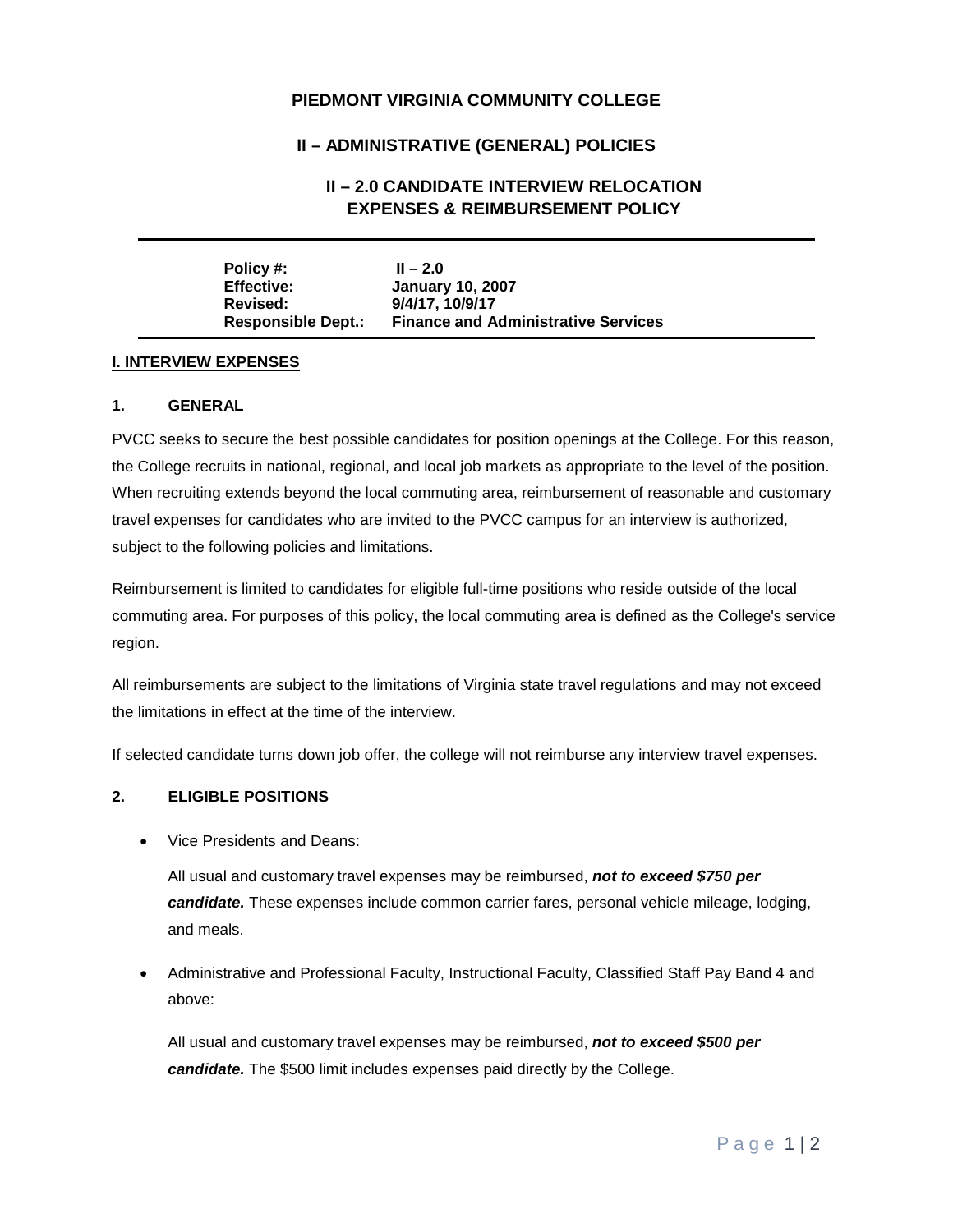## **PIEDMONT VIRGINIA COMMUNITY COLLEGE**

# **II – ADMINISTRATIVE (GENERAL) POLICIES**

# **II – 2.0 CANDIDATE INTERVIEW RELOCATION EXPENSES & REIMBURSEMENT POLICY**

| Policy #:                 | $II - 2.0$                                 |
|---------------------------|--------------------------------------------|
| <b>Effective:</b>         | <b>January 10, 2007</b>                    |
| Revised:                  | 9/4/17, 10/9/17                            |
| <b>Responsible Dept.:</b> | <b>Finance and Administrative Services</b> |

#### **I. INTERVIEW EXPENSES**

#### **1. GENERAL**

PVCC seeks to secure the best possible candidates for position openings at the College. For this reason, the College recruits in national, regional, and local job markets as appropriate to the level of the position. When recruiting extends beyond the local commuting area, reimbursement of reasonable and customary travel expenses for candidates who are invited to the PVCC campus for an interview is authorized, subject to the following policies and limitations.

Reimbursement is limited to candidates for eligible full-time positions who reside outside of the local commuting area. For purposes of this policy, the local commuting area is defined as the College's service region.

All reimbursements are subject to the limitations of Virginia state travel regulations and may not exceed the limitations in effect at the time of the interview.

If selected candidate turns down job offer, the college will not reimburse any interview travel expenses.

### **2. ELIGIBLE POSITIONS**

• Vice Presidents and Deans:

All usual and customary travel expenses may be reimbursed, *not to exceed \$750 per candidate.* These expenses include common carrier fares, personal vehicle mileage, lodging, and meals.

• Administrative and Professional Faculty, Instructional Faculty, Classified Staff Pay Band 4 and above:

All usual and customary travel expenses may be reimbursed, *not to exceed \$500 per candidate.* The \$500 limit includes expenses paid directly by the College.